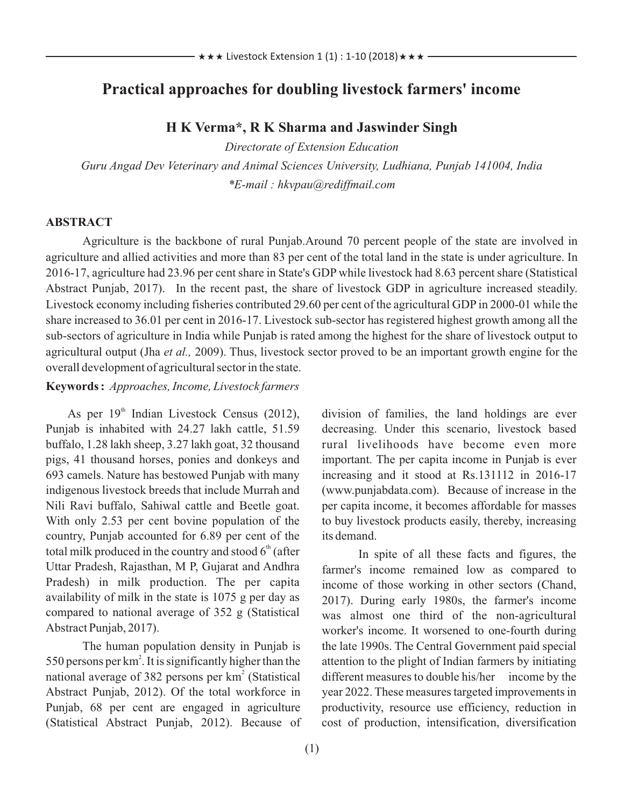# **Practical approaches for doubling livestock farmers' income**

## **H K Verma\*, R K Sharma and Jaswinder Singh**

*Directorate of Extension Education Guru Angad Dev Veterinary and Animal Sciences University, Ludhiana, Punjab 141004, India \*E-mail : hkvpau@rediffmail.com*

#### **ABSTRACT**

Agriculture is the backbone of rural Punjab.Around 70 percent people of the state are involved in agriculture and allied activities and more than 83 per cent of the total land in the state is under agriculture. In 2016-17, agriculture had 23.96 per cent share in State's GDP while livestock had 8.63 percent share (Statistical Abstract Punjab, 2017). In the recent past, the share of livestock GDP in agriculture increased steadily. Livestock economy including fisheries contributed 29.60 per cent of the agricultural GDP in 2000-01 while the share increased to 36.01 per cent in 2016-17. Livestock sub-sector has registered highest growth among all the sub-sectors of agriculture in India while Punjab is rated among the highest for the share of livestock output to agricultural output (Jha *et al.,* 2009). Thus, livestock sector proved to be an important growth engine for the overall development of agricultural sector in the state.

## **Keywords :** *Approaches, Income, Livestock farmers*

As per  $19<sup>th</sup>$  Indian Livestock Census (2012), Punjab is inhabited with 24.27 lakh cattle, 51.59 buffalo, 1.28 lakh sheep, 3.27 lakh goat, 32 thousand pigs, 41 thousand horses, ponies and donkeys and 693 camels. Nature has bestowed Punjab with many indigenous livestock breeds that include Murrah and Nili Ravi buffalo, Sahiwal cattle and Beetle goat. With only 2.53 per cent bovine population of the country, Punjab accounted for 6.89 per cent of the total milk produced in the country and stood  $6<sup>th</sup>$  (after Uttar Pradesh, Rajasthan, M P, Gujarat and Andhra Pradesh) in milk production. The per capita availability of milk in the state is 1075 g per day as compared to national average of 352 g (Statistical Abstract Punjab, 2017).

The human population density in Punjab is 550 persons per  $km^2$ . It is significantly higher than the national average of 382 persons per km<sup>2</sup> (Statistical Abstract Punjab, 2012). Of the total workforce in Punjab, 68 per cent are engaged in agriculture (Statistical Abstract Punjab, 2012). Because of division of families, the land holdings are ever decreasing. Under this scenario, livestock based rural livelihoods have become even more important. The per capita income in Punjab is ever increasing and it stood at Rs.131112 in 2016-17 (www.punjabdata.com). Because of increase in the per capita income, it becomes affordable for masses to buy livestock products easily, thereby, increasing its demand.

In spite of all these facts and figures, the farmer's income remained low as compared to income of those working in other sectors (Chand, 2017). During early 1980s, the farmer's income was almost one third of the non-agricultural worker's income. It worsened to one-fourth during the late 1990s. The Central Government paid special attention to the plight of Indian farmers by initiating different measures to double his/her income by the year 2022. These measures targeted improvements in productivity, resource use efficiency, reduction in cost of production, intensification, diversification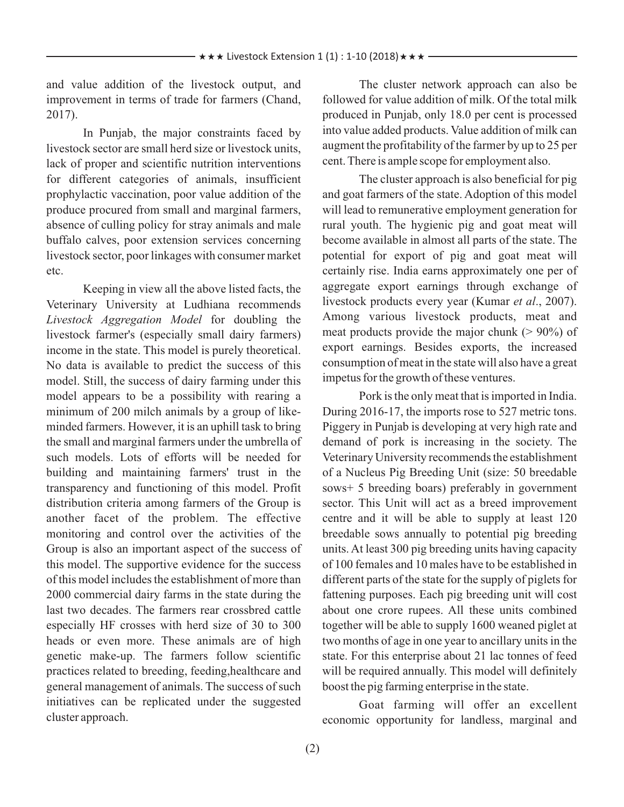and value addition of the livestock output, and improvement in terms of trade for farmers (Chand, 2017).

In Punjab, the major constraints faced by livestock sector are small herd size or livestock units, lack of proper and scientific nutrition interventions for different categories of animals, insufficient prophylactic vaccination, poor value addition of the produce procured from small and marginal farmers, absence of culling policy for stray animals and male buffalo calves, poor extension services concerning livestock sector, poor linkages with consumer market etc.

Keeping in view all the above listed facts, the Veterinary University at Ludhiana recommends *Livestock Aggregation Model* for doubling the livestock farmer's (especially small dairy farmers) income in the state. This model is purely theoretical. No data is available to predict the success of this model. Still, the success of dairy farming under this model appears to be a possibility with rearing a minimum of 200 milch animals by a group of likeminded farmers. However, it is an uphill task to bring the small and marginal farmers under the umbrella of such models. Lots of efforts will be needed for building and maintaining farmers' trust in the transparency and functioning of this model. Profit distribution criteria among farmers of the Group is another facet of the problem. The effective monitoring and control over the activities of the Group is also an important aspect of the success of this model. The supportive evidence for the success of this model includes the establishment of more than 2000 commercial dairy farms in the state during the last two decades. The farmers rear crossbred cattle especially HF crosses with herd size of 30 to 300 heads or even more. These animals are of high genetic make-up. The farmers follow scientific practices related to breeding, feeding,healthcare and general management of animals. The success of such initiatives can be replicated under the suggested cluster approach.

The cluster network approach can also be followed for value addition of milk. Of the total milk produced in Punjab, only 18.0 per cent is processed into value added products. Value addition of milk can augment the profitability of the farmer by up to 25 per cent. There is ample scope for employment also.

The cluster approach is also beneficial for pig and goat farmers of the state. Adoption of this model will lead to remunerative employment generation for rural youth. The hygienic pig and goat meat will become available in almost all parts of the state. The potential for export of pig and goat meat will certainly rise. India earns approximately one per of aggregate export earnings through exchange of livestock products every year (Kumar *et al*., 2007). Among various livestock products, meat and meat products provide the major chunk  $(> 90\%)$  of export earnings. Besides exports, the increased consumption of meat in the state will also have a great impetus for the growth of these ventures.

Pork is the only meat that is imported in India. During 2016-17, the imports rose to 527 metric tons. Piggery in Punjab is developing at very high rate and demand of pork is increasing in the society. The Veterinary University recommends the establishment of a Nucleus Pig Breeding Unit (size: 50 breedable sows+ 5 breeding boars) preferably in government sector. This Unit will act as a breed improvement centre and it will be able to supply at least 120 breedable sows annually to potential pig breeding units. At least 300 pig breeding units having capacity of 100 females and 10 males have to be established in different parts of the state for the supply of piglets for fattening purposes. Each pig breeding unit will cost about one crore rupees. All these units combined together will be able to supply 1600 weaned piglet at two months of age in one year to ancillary units in the state. For this enterprise about 21 lac tonnes of feed will be required annually. This model will definitely boost the pig farming enterprise in the state.

Goat farming will offer an excellent economic opportunity for landless, marginal and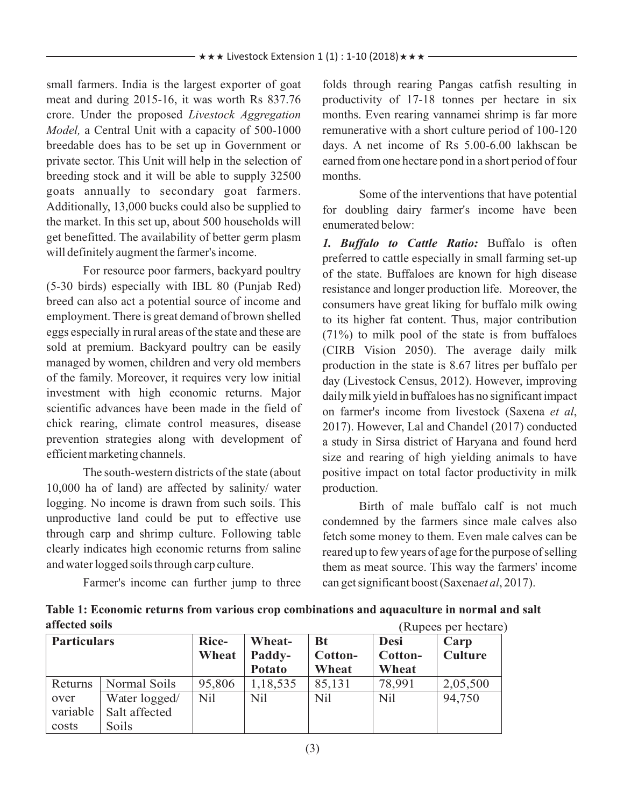small farmers. India is the largest exporter of goat meat and during 2015-16, it was worth Rs 837.76 crore. Under the proposed *Livestock Aggregation Model,* a Central Unit with a capacity of 500-1000 breedable does has to be set up in Government or private sector. This Unit will help in the selection of breeding stock and it will be able to supply 32500 goats annually to secondary goat farmers. Additionally, 13,000 bucks could also be supplied to the market. In this set up, about 500 households will get benefitted. The availability of better germ plasm will definitely augment the farmer's income.

For resource poor farmers, backyard poultry (5-30 birds) especially with IBL 80 (Punjab Red) breed can also act a potential source of income and employment. There is great demand of brown shelled eggs especially in rural areas of the state and these are sold at premium. Backyard poultry can be easily managed by women, children and very old members of the family. Moreover, it requires very low initial investment with high economic returns. Major scientific advances have been made in the field of chick rearing, climate control measures, disease prevention strategies along with development of efficient marketing channels.

The south-western districts of the state (about 10,000 ha of land) are affected by salinity/ water logging. No income is drawn from such soils. This unproductive land could be put to effective use through carp and shrimp culture. Following table clearly indicates high economic returns from saline and water logged soils through carp culture.

Farmer's income can further jump to three

folds through rearing Pangas catfish resulting in productivity of 17-18 tonnes per hectare in six months. Even rearing vannamei shrimp is far more remunerative with a short culture period of 100-120 days. A net income of Rs 5.00-6.00 lakhscan be earned from one hectare pond in a short period of four months.

Some of the interventions that have potential for doubling dairy farmer's income have been enumerated below:

*1. Buffalo to Cattle Ratio:* Buffalo is often preferred to cattle especially in small farming set-up of the state. Buffaloes are known for high disease resistance and longer production life. Moreover, the consumers have great liking for buffalo milk owing to its higher fat content. Thus, major contribution (71%) to milk pool of the state is from buffaloes (CIRB Vision 2050). The average daily milk production in the state is 8.67 litres per buffalo per day (Livestock Census, 2012). However, improving daily milk yield in buffaloes has no significant impact on farmer's income from livestock (Saxena *et al*, 2017). However, Lal and Chandel (2017) conducted a study in Sirsa district of Haryana and found herd size and rearing of high yielding animals to have positive impact on total factor productivity in milk production.

Birth of male buffalo calf is not much condemned by the farmers since male calves also fetch some money to them. Even male calves can be reared up to few years of age for the purpose of selling them as meat source. This way the farmers' income can get significant boost (Saxena*et al*, 2017).

**Table 1: Economic returns from various crop combinations and aquaculture in normal and salt affected soils** (Rupees per hectare)

| <b>Particulars</b> |               | Rice-<br>Wheat | Wheat-<br>Paddy-<br><b>Potato</b> | <b>Bt</b><br>Cotton-<br>Wheat | <b>Desi</b><br>Cotton-<br>Wheat | Carp<br><b>Culture</b> |
|--------------------|---------------|----------------|-----------------------------------|-------------------------------|---------------------------------|------------------------|
| Returns            | Normal Soils  | 95,806         | 1,18,535                          | 85,131                        | 78,991                          | 2,05,500               |
| over               | Water logged/ | Nil            | N <sub>il</sub>                   | <b>Nil</b>                    | Nil                             | 94,750                 |
| variable           | Salt affected |                |                                   |                               |                                 |                        |
| costs              | Soils         |                |                                   |                               |                                 |                        |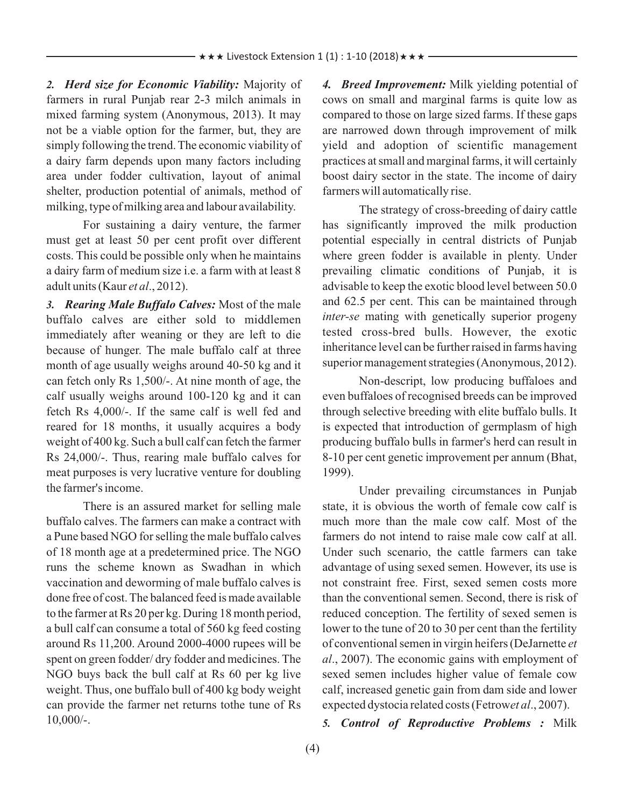*2. Herd size for Economic Viability:* Majority of farmers in rural Punjab rear 2-3 milch animals in mixed farming system (Anonymous, 2013). It may not be a viable option for the farmer, but, they are simply following the trend. The economic viability of a dairy farm depends upon many factors including area under fodder cultivation, layout of animal shelter, production potential of animals, method of milking, type of milking area and labour availability.

For sustaining a dairy venture, the farmer must get at least 50 per cent profit over different costs. This could be possible only when he maintains a dairy farm of medium size i.e. a farm with at least 8 adult units (Kaur *et al*., 2012).

*3. Rearing Male Buffalo Calves:* Most of the male buffalo calves are either sold to middlemen immediately after weaning or they are left to die because of hunger. The male buffalo calf at three month of age usually weighs around 40-50 kg and it can fetch only Rs 1,500/-. At nine month of age, the calf usually weighs around 100-120 kg and it can fetch Rs 4,000/-. If the same calf is well fed and reared for 18 months, it usually acquires a body weight of 400 kg. Such a bull calf can fetch the farmer Rs 24,000/-. Thus, rearing male buffalo calves for meat purposes is very lucrative venture for doubling the farmer's income.

There is an assured market for selling male buffalo calves. The farmers can make a contract with a Pune based NGO for selling the male buffalo calves of 18 month age at a predetermined price. The NGO runs the scheme known as Swadhan in which vaccination and deworming of male buffalo calves is done free of cost. The balanced feed is made available to the farmer at Rs 20 per kg. During 18 month period, a bull calf can consume a total of 560 kg feed costing around Rs 11,200. Around 2000-4000 rupees will be spent on green fodder/ dry fodder and medicines. The NGO buys back the bull calf at Rs 60 per kg live weight. Thus, one buffalo bull of 400 kg body weight can provide the farmer net returns tothe tune of Rs 10,000/-.

*4. Breed Improvement:* Milk yielding potential of cows on small and marginal farms is quite low as compared to those on large sized farms. If these gaps are narrowed down through improvement of milk yield and adoption of scientific management practices at small and marginal farms, it will certainly boost dairy sector in the state. The income of dairy farmers will automatically rise.

The strategy of cross-breeding of dairy cattle has significantly improved the milk production potential especially in central districts of Punjab where green fodder is available in plenty. Under prevailing climatic conditions of Punjab, it is advisable to keep the exotic blood level between 50.0 and 62.5 per cent. This can be maintained through *inter-se* mating with genetically superior progeny tested cross-bred bulls. However, the exotic inheritance level can be further raised in farms having superior management strategies (Anonymous, 2012).

Non-descript, low producing buffaloes and even buffaloes of recognised breeds can be improved through selective breeding with elite buffalo bulls. It is expected that introduction of germplasm of high producing buffalo bulls in farmer's herd can result in 8-10 per cent genetic improvement per annum (Bhat, 1999).

Under prevailing circumstances in Punjab state, it is obvious the worth of female cow calf is much more than the male cow calf. Most of the farmers do not intend to raise male cow calf at all. Under such scenario, the cattle farmers can take advantage of using sexed semen. However, its use is not constraint free. First, sexed semen costs more than the conventional semen. Second, there is risk of reduced conception. The fertility of sexed semen is lower to the tune of 20 to 30 per cent than the fertility of conventional semen in virgin heifers (DeJarnette *et al*., 2007). The economic gains with employment of sexed semen includes higher value of female cow calf, increased genetic gain from dam side and lower expected dystocia related costs (Fetrow*et al*., 2007).

*5. Control of Reproductive Problems :* Milk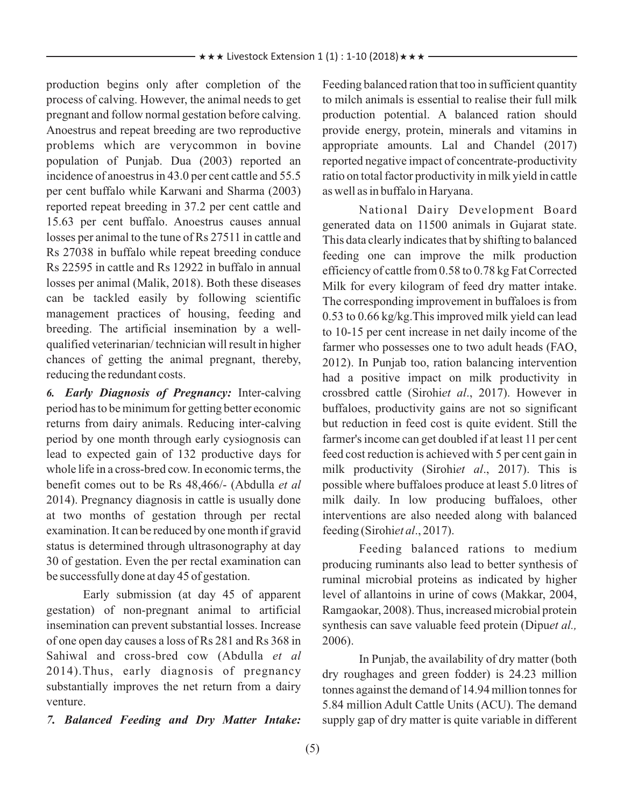production begins only after completion of the process of calving. However, the animal needs to get pregnant and follow normal gestation before calving. Anoestrus and repeat breeding are two reproductive problems which are verycommon in bovine population of Punjab. Dua (2003) reported an incidence of anoestrus in 43.0 per cent cattle and 55.5 per cent buffalo while Karwani and Sharma (2003) reported repeat breeding in 37.2 per cent cattle and 15.63 per cent buffalo. Anoestrus causes annual losses per animal to the tune of Rs 27511 in cattle and Rs 27038 in buffalo while repeat breeding conduce Rs 22595 in cattle and Rs 12922 in buffalo in annual losses per animal (Malik, 2018). Both these diseases can be tackled easily by following scientific management practices of housing, feeding and breeding. The artificial insemination by a wellqualified veterinarian/ technician will result in higher chances of getting the animal pregnant, thereby, reducing the redundant costs.

*6. Early Diagnosis of Pregnancy:* Inter-calving period has to be minimum for getting better economic returns from dairy animals. Reducing inter-calving period by one month through early cysiognosis can lead to expected gain of 132 productive days for whole life in a cross-bred cow. In economic terms, the benefit comes out to be Rs 48,466/- (Abdulla *et al* 2014). Pregnancy diagnosis in cattle is usually done at two months of gestation through per rectal examination. It can be reduced by one month if gravid status is determined through ultrasonography at day 30 of gestation. Even the per rectal examination can be successfully done at day 45 of gestation.

Early submission (at day 45 of apparent gestation) of non-pregnant animal to artificial insemination can prevent substantial losses. Increase of one open day causes a loss of Rs 281 and Rs 368 in Sahiwal and cross-bred cow (Abdulla *et al* 2014).Thus, early diagnosis of pregnancy substantially improves the net return from a dairy venture.

*7. Balanced Feeding and Dry Matter Intake:*

Feeding balanced ration that too in sufficient quantity to milch animals is essential to realise their full milk production potential. A balanced ration should provide energy, protein, minerals and vitamins in appropriate amounts. Lal and Chandel (2017) reported negative impact of concentrate-productivity ratio on total factor productivity in milk yield in cattle as well as in buffalo in Haryana.

National Dairy Development Board generated data on 11500 animals in Gujarat state. This data clearly indicates that by shifting to balanced feeding one can improve the milk production efficiency of cattle from 0.58 to 0.78 kg Fat Corrected Milk for every kilogram of feed dry matter intake. The corresponding improvement in buffaloes is from 0.53 to 0.66 kg/kg.This improved milk yield can lead to 10-15 per cent increase in net daily income of the farmer who possesses one to two adult heads (FAO, 2012). In Punjab too, ration balancing intervention had a positive impact on milk productivity in crossbred cattle (Sirohi*et al*., 2017). However in buffaloes, productivity gains are not so significant but reduction in feed cost is quite evident. Still the farmer's income can get doubled if at least 11 per cent feed cost reduction is achieved with 5 per cent gain in milk productivity (Sirohi*et al*., 2017). This is possible where buffaloes produce at least 5.0 litres of milk daily. In low producing buffaloes, other interventions are also needed along with balanced feeding (Sirohi*et al*., 2017).

Feeding balanced rations to medium producing ruminants also lead to better synthesis of ruminal microbial proteins as indicated by higher level of allantoins in urine of cows (Makkar, 2004, Ramgaokar, 2008). Thus, increased microbial protein synthesis can save valuable feed protein (Dipu*et al.,* 2006).

In Punjab, the availability of dry matter (both dry roughages and green fodder) is 24.23 million tonnes against the demand of 14.94 million tonnes for 5.84 million Adult Cattle Units (ACU). The demand supply gap of dry matter is quite variable in different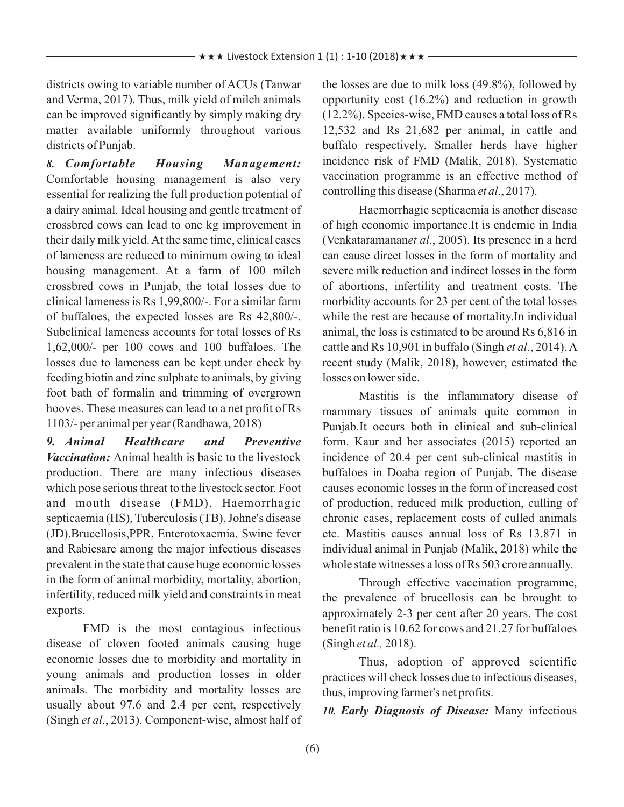districts owing to variable number of ACUs (Tanwar and Verma, 2017). Thus, milk yield of milch animals can be improved significantly by simply making dry matter available uniformly throughout various districts of Punjab.

*8. Comfortable Housing Management:* Comfortable housing management is also very essential for realizing the full production potential of a dairy animal. Ideal housing and gentle treatment of crossbred cows can lead to one kg improvement in their daily milk yield. At the same time, clinical cases of lameness are reduced to minimum owing to ideal housing management. At a farm of 100 milch crossbred cows in Punjab, the total losses due to clinical lameness is Rs 1,99,800/-. For a similar farm of buffaloes, the expected losses are Rs 42,800/-. Subclinical lameness accounts for total losses of Rs 1,62,000/- per 100 cows and 100 buffaloes. The losses due to lameness can be kept under check by feeding biotin and zinc sulphate to animals, by giving foot bath of formalin and trimming of overgrown hooves. These measures can lead to a net profit of Rs 1103/- per animal per year (Randhawa, 2018)

*9. Animal Healthcare and Preventive Vaccination:* Animal health is basic to the livestock production. There are many infectious diseases which pose serious threat to the livestock sector. Foot and mouth disease (FMD), Haemorrhagic septicaemia (HS), Tuberculosis (TB), Johne's disease (JD),Brucellosis,PPR, Enterotoxaemia, Swine fever and Rabiesare among the major infectious diseases prevalent in the state that cause huge economic losses in the form of animal morbidity, mortality, abortion, infertility, reduced milk yield and constraints in meat exports.

FMD is the most contagious infectious disease of cloven footed animals causing huge economic losses due to morbidity and mortality in young animals and production losses in older animals. The morbidity and mortality losses are usually about 97.6 and 2.4 per cent, respectively (Singh *et al*., 2013). Component-wise, almost half of the losses are due to milk loss (49.8%), followed by opportunity cost (16.2%) and reduction in growth (12.2%). Species-wise, FMD causes a total loss of Rs 12,532 and Rs 21,682 per animal, in cattle and buffalo respectively. Smaller herds have higher incidence risk of FMD (Malik, 2018). Systematic vaccination programme is an effective method of controlling this disease (Sharma *et al*., 2017).

Haemorrhagic septicaemia is another disease of high economic importance.It is endemic in India (Venkataramanan*et al*., 2005). Its presence in a herd can cause direct losses in the form of mortality and severe milk reduction and indirect losses in the form of abortions, infertility and treatment costs. The morbidity accounts for 23 per cent of the total losses while the rest are because of mortality.In individual animal, the loss is estimated to be around Rs 6,816 in cattle and Rs 10,901 in buffalo (Singh *et al*., 2014). A recent study (Malik, 2018), however, estimated the losses on lower side.

Mastitis is the inflammatory disease of mammary tissues of animals quite common in Punjab.It occurs both in clinical and sub-clinical form. Kaur and her associates (2015) reported an incidence of 20.4 per cent sub-clinical mastitis in buffaloes in Doaba region of Punjab. The disease causes economic losses in the form of increased cost of production, reduced milk production, culling of chronic cases, replacement costs of culled animals etc. Mastitis causes annual loss of Rs 13,871 in individual animal in Punjab (Malik, 2018) while the whole state witnesses a loss of Rs 503 crore annually.

Through effective vaccination programme, the prevalence of brucellosis can be brought to approximately 2-3 per cent after 20 years. The cost benefit ratio is 10.62 for cows and 21.27 for buffaloes (Singh *et al.,* 2018).

Thus, adoption of approved scientific practices will check losses due to infectious diseases, thus, improving farmer's net profits.

*10. Early Diagnosis of Disease:* Many infectious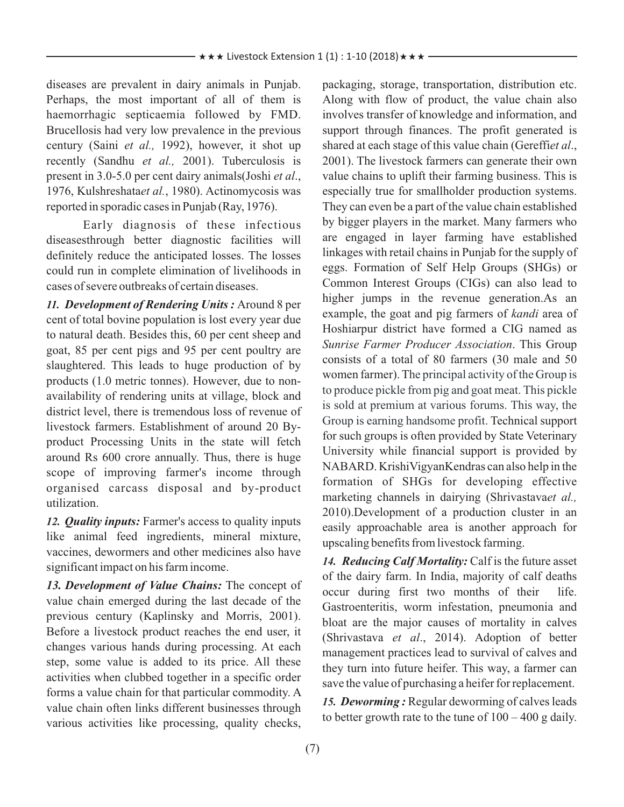diseases are prevalent in dairy animals in Punjab. Perhaps, the most important of all of them is haemorrhagic septicaemia followed by FMD. Brucellosis had very low prevalence in the previous century (Saini *et al.,* 1992), however, it shot up recently (Sandhu *et al.,* 2001). Tuberculosis is present in 3.0-5.0 per cent dairy animals(Joshi *et al*., 1976, Kulshreshata*et al.*, 1980). Actinomycosis was reported in sporadic cases in Punjab (Ray, 1976).

Early diagnosis of these infectious diseasesthrough better diagnostic facilities will definitely reduce the anticipated losses. The losses could run in complete elimination of livelihoods in cases of severe outbreaks of certain diseases.

*11. Development of Rendering Units :* Around 8 per cent of total bovine population is lost every year due to natural death. Besides this, 60 per cent sheep and goat, 85 per cent pigs and 95 per cent poultry are slaughtered. This leads to huge production of by products (1.0 metric tonnes). However, due to nonavailability of rendering units at village, block and district level, there is tremendous loss of revenue of livestock farmers. Establishment of around 20 Byproduct Processing Units in the state will fetch around Rs 600 crore annually. Thus, there is huge scope of improving farmer's income through organised carcass disposal and by-product utilization.

*12. Quality inputs:* Farmer's access to quality inputs like animal feed ingredients, mineral mixture, vaccines, dewormers and other medicines also have significant impact on his farm income.

*13. Development of Value Chains:* The concept of value chain emerged during the last decade of the previous century (Kaplinsky and Morris, 2001). Before a livestock product reaches the end user, it changes various hands during processing. At each step, some value is added to its price. All these activities when clubbed together in a specific order forms a value chain for that particular commodity. A value chain often links different businesses through various activities like processing, quality checks, packaging, storage, transportation, distribution etc. Along with flow of product, the value chain also involves transfer of knowledge and information, and support through finances. The profit generated is shared at each stage of this value chain (Gereffi*et al*., 2001). The livestock farmers can generate their own value chains to uplift their farming business. This is especially true for smallholder production systems. They can even be a part of the value chain established by bigger players in the market. Many farmers who are engaged in layer farming have established linkages with retail chains in Punjab for the supply of eggs. Formation of Self Help Groups (SHGs) or Common Interest Groups (CIGs) can also lead to higher jumps in the revenue generation.As an example, the goat and pig farmers of *kandi* area of Hoshiarpur district have formed a CIG named as *Sunrise Farmer Producer Association*. This Group consists of a total of 80 farmers (30 male and 50 women farmer). T he principal activity of the Group is Group is earning handsome profit. Technical support for such groups is often provided by State Veterinary University while financial support is provided by NABARD. KrishiVigyanKendras can also help in the formation of SHGs for developing effective marketing channels in dairying (Shrivastava*et al.,* 2010).Development of a production cluster in an easily approachable area is another approach for upscaling benefits from livestock farming. to produce pickle from pig and goat meat. This pickle is sold at premium at various forums. This way, the

*14. Reducing Calf Mortality:* Calf is the future asset of the dairy farm. In India, majority of calf deaths occur during first two months of their life. Gastroenteritis, worm infestation, pneumonia and bloat are the major causes of mortality in calves (Shrivastava *et al*., 2014). Adoption of better management practices lead to survival of calves and they turn into future heifer. This way, a farmer can save the value of purchasing a heifer for replacement.

*15. Deworming :* Regular deworming of calves leads to better growth rate to the tune of  $100 - 400$  g daily.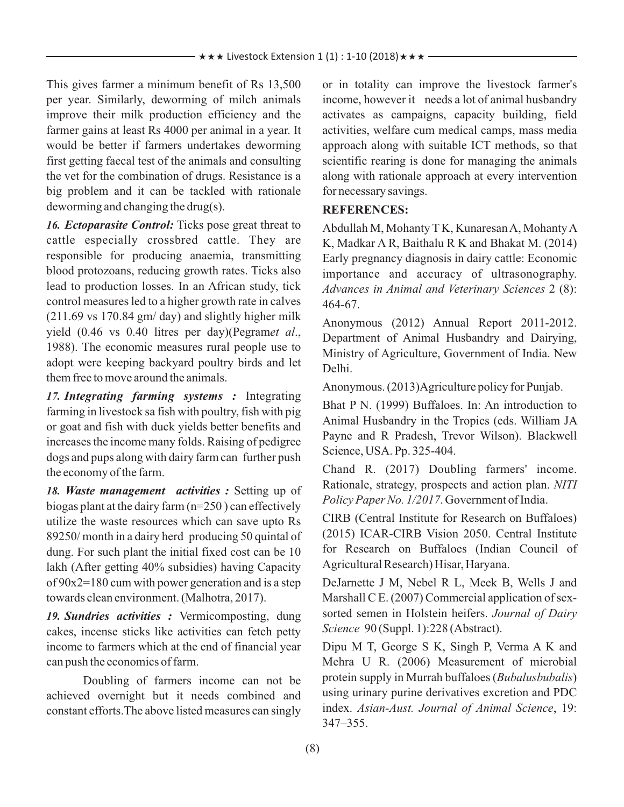This gives farmer a minimum benefit of Rs 13,500 per year. Similarly, deworming of milch animals improve their milk production efficiency and the farmer gains at least Rs 4000 per animal in a year. It would be better if farmers undertakes deworming first getting faecal test of the animals and consulting the vet for the combination of drugs. Resistance is a big problem and it can be tackled with rationale deworming and changing the drug(s).

*16. Ectoparasite Control:* Ticks pose great threat to cattle especially crossbred cattle. They are responsible for producing anaemia, transmitting blood protozoans, reducing growth rates. Ticks also lead to production losses. In an African study, tick control measures led to a higher growth rate in calves (211.69 vs 170.84 gm/ day) and slightly higher milk yield (0.46 vs 0.40 litres per day)(Pegram*et al*., 1988). The economic measures rural people use to adopt were keeping backyard poultry birds and let them free to move around the animals.

*17. Integrating farming systems :* Integrating farming in livestock sa fish with poultry, fish with pig or goat and fish with duck yields better benefits and increases the income many folds. Raising of pedigree dogs and pups along with dairy farm can further push the economy of the farm.

*18. Waste management activities :* Setting up of biogas plant at the dairy farm (n=250 ) can effectively utilize the waste resources which can save upto Rs 89250/ month in a dairy herd producing 50 quintal of dung. For such plant the initial fixed cost can be 10 lakh (After getting 40% subsidies) having Capacity of 90x2=180 cum with power generation and is a step towards clean environment. (Malhotra, 2017).

*19. Sundries activities :* Vermicomposting, dung cakes, incense sticks like activities can fetch petty income to farmers which at the end of financial year can push the economics of farm.

Doubling of farmers income can not be achieved overnight but it needs combined and constant efforts.The above listed measures can singly or in totality can improve the livestock farmer's income, however it needs a lot of animal husbandry activates as campaigns, capacity building, field activities, welfare cum medical camps, mass media approach along with suitable ICT methods, so that scientific rearing is done for managing the animals along with rationale approach at every intervention for necessary savings.

### **REFERENCES:**

Abdullah M, Mohanty T K, Kunaresan A, Mohanty A K, Madkar A R, Baithalu R K and Bhakat M. (2014) Early pregnancy diagnosis in dairy cattle: Economic importance and accuracy of ultrasonography. *Advances in Animal and Veterinary Sciences* 2 (8): 464-67.

Anonymous (2012) Annual Report 2011-2012. Department of Animal Husbandry and Dairying, Ministry of Agriculture, Government of India. New Delhi.

Anonymous. (2013)Agriculture policy for Punjab.

Bhat P N. (1999) Buffaloes. In: An introduction to Animal Husbandry in the Tropics (eds. William JA Payne and R Pradesh, Trevor Wilson). Blackwell Science, USA. Pp. 325-404.

Chand R. (2017) Doubling farmers' income. Rationale, strategy, prospects and action plan. *NITI Policy Paper No. 1/2017*. Government of India.

CIRB (Central Institute for Research on Buffaloes) (2015) ICAR-CIRB Vision 2050. Central Institute for Research on Buffaloes (Indian Council of Agricultural Research) Hisar, Haryana.

DeJarnette J M, Nebel R L, Meek B, Wells J and Marshall C E. (2007) Commercial application of sexsorted semen in Holstein heifers. *Journal of Dairy Science* 90 (Suppl. 1):228 (Abstract).

Dipu M T, George S K, Singh P, Verma A K and Mehra U R. (2006) Measurement of microbial protein supply in Murrah buffaloes (*Bubalusbubalis*) using urinary purine derivatives excretion and PDC index. *Asian-Aust. Journal of Animal Science*, 19: 347–355.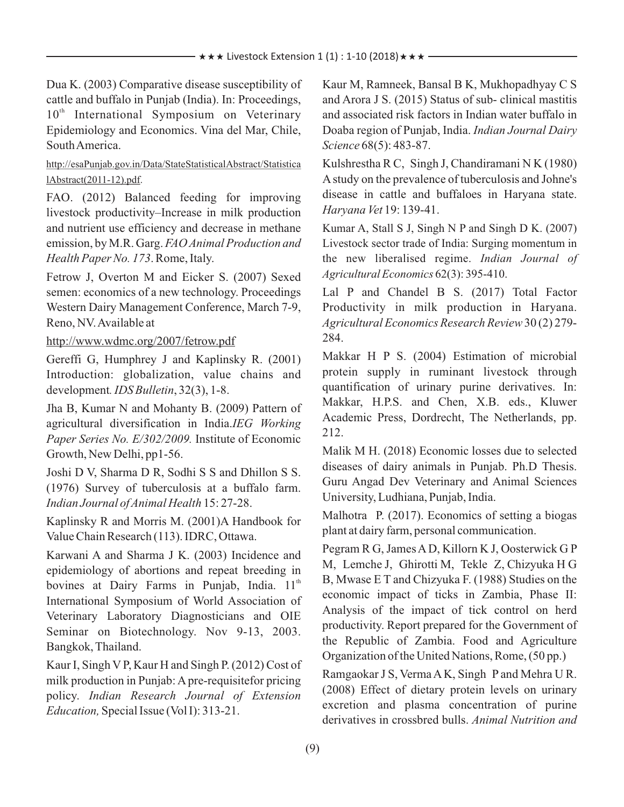Dua K. (2003) Comparative disease susceptibility of cattle and buffalo in Punjab (India). In: Proceedings, 10<sup>th</sup> International Symposium on Veterinary Epidemiology and Economics. Vina del Mar, Chile, South America.

http://esaPunjab.gov.in/Data/StateStatisticalAbstract/Statistica lAbstract(2011-12).pdf.

FAO. (2012) Balanced feeding for improving livestock productivity–Increase in milk production and nutrient use efficiency and decrease in methane emission, by M.R. Garg. *FAO Animal Production and Health Paper No. 173*. Rome, Italy.

Fetrow J, Overton M and Eicker S. (2007) Sexed semen: economics of a new technology. Proceedings Western Dairy Management Conference, March 7-9, Reno, NV. Available at

#### http://www.wdmc.org/2007/fetrow.pdf

Gereffi G, Humphrey J and Kaplinsky R. (2001) Introduction: globalization, value chains and development*. IDS Bulletin*, 32(3), 1-8.

Jha B, Kumar N and Mohanty B. (2009) Pattern of agricultural diversification in India.*IEG Working Paper Series No. E/302/2009.* Institute of Economic Growth, New Delhi, pp1-56.

Joshi D V, Sharma D R, Sodhi S S and Dhillon S S. (1976) Survey of tuberculosis at a buffalo farm. *Indian Journal of Animal Health* 15: 27-28.

Kaplinsky R and Morris M. (2001)A Handbook for Value Chain Research (113). IDRC, Ottawa.

Karwani A and Sharma J K. (2003) Incidence and epidemiology of abortions and repeat breeding in bovines at Dairy Farms in Punjab, India. 11<sup>th</sup> International Symposium of World Association of Veterinary Laboratory Diagnosticians and OIE Seminar on Biotechnology. Nov 9-13, 2003. Bangkok, Thailand.

Kaur I, Singh V P, Kaur H and Singh P. (2012) Cost of milk production in Punjab: Apre-requisitefor pricing policy. *Indian Research Journal of Extension Education,* Special Issue (Vol I): 313-21.

Kaur M, Ramneek, Bansal B K, Mukhopadhyay C S and Arora J S. (2015) Status of sub- clinical mastitis and associated risk factors in Indian water buffalo in Doaba region of Punjab, India. *Indian Journal Dairy Science* 68(5): 483-87.

Kulshrestha R C, Singh J, Chandiramani N K (1980) Astudy on the prevalence of tuberculosis and Johne's disease in cattle and buffaloes in Haryana state. *Haryana Vet* 19: 139-41.

Kumar A, Stall S J, Singh N P and Singh D K. (2007) Livestock sector trade of India: Surging momentum in the new liberalised regime. *Indian Journal of Agricultural Economics* 62(3): 395-410.

Lal P and Chandel B S. (2017) Total Factor Productivity in milk production in Haryana. *Agricultural Economics Research Review* 30 (2) 279- 284.

Makkar H P S. (2004) Estimation of microbial protein supply in ruminant livestock through quantification of urinary purine derivatives. In: Makkar, H.P.S. and Chen, X.B. eds., Kluwer Academic Press, Dordrecht, The Netherlands, pp. 212.

Malik M H. (2018) Economic losses due to selected diseases of dairy animals in Punjab. Ph.D Thesis. Guru Angad Dev Veterinary and Animal Sciences University, Ludhiana, Punjab, India.

Malhotra P. (2017). Economics of setting a biogas plant at dairy farm, personal communication.

Pegram R G, James AD, Killorn K J, Oosterwick G P M, Lemche J, Ghirotti M, Tekle Z, Chizyuka H G B, Mwase E T and Chizyuka F. (1988) Studies on the economic impact of ticks in Zambia, Phase II: Analysis of the impact of tick control on herd productivity. Report prepared for the Government of the Republic of Zambia. Food and Agriculture Organization of the United Nations, Rome, (50 pp.)

Ramgaokar J S, Verma AK, Singh P and Mehra U R. (2008) Effect of dietary protein levels on urinary excretion and plasma concentration of purine derivatives in crossbred bulls. *Animal Nutrition and*